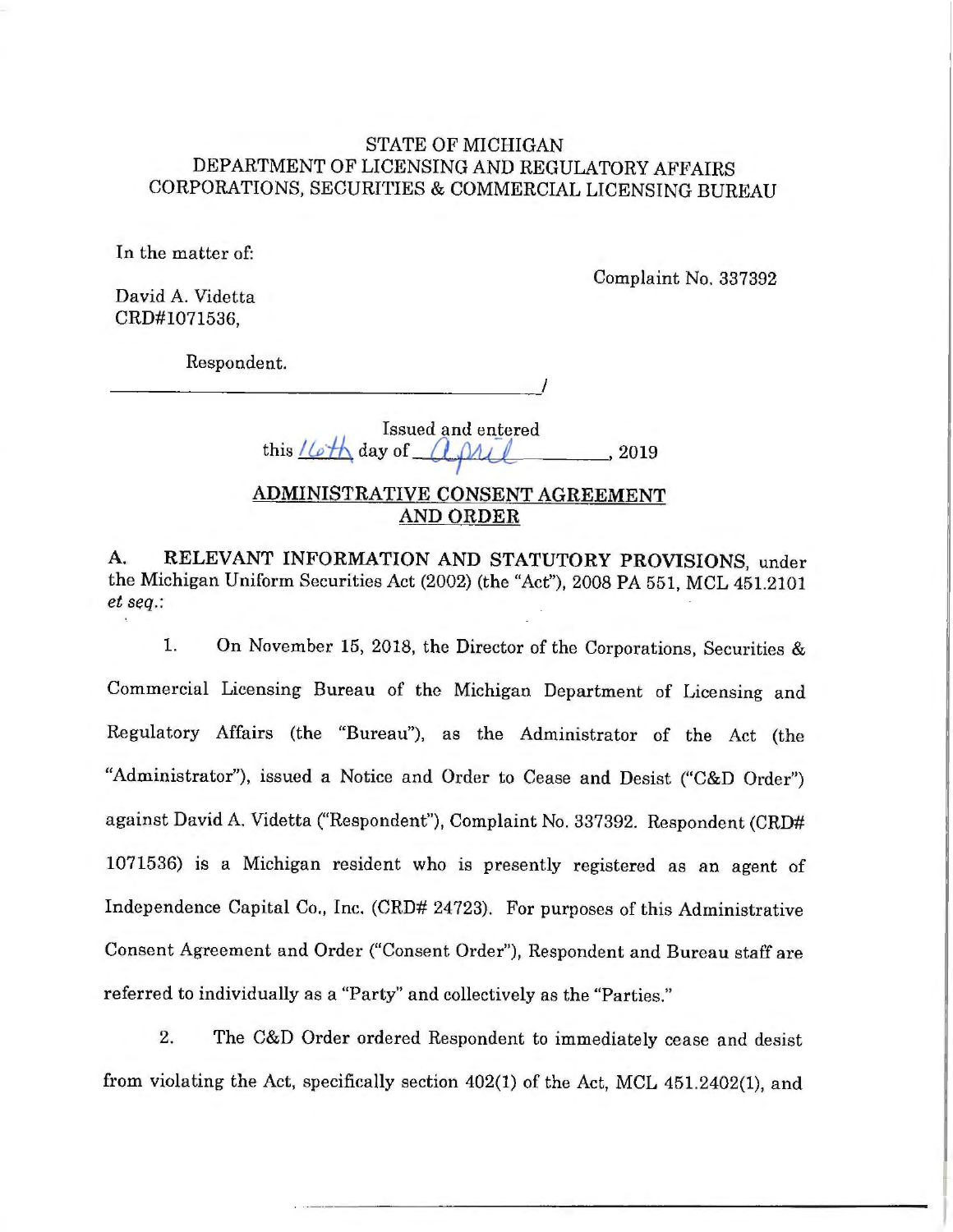### STATE OF MICHIGAN DEPARTMENT OF LICENSING AND REGULATORY AFFAIRS CORPORATIONS, SECURITIES & COMMERCIAL LICENSING BUREAU

In the matter of:

Complaint No. 337392

David A. Videtta CRD#I071536,

Respondent.

 $\overline{\phantom{a}}$ 

Issued and entered this <u>*lleth*</u> day of *apple* , 2019

# **ADMINISTRATIVE CONSENT AGREEMENT AND ORDER**

**A. RELEVANT INFORMATION AND STATUTORY PROVISIONS,** under the Michigan Uniform Securities Act (2002) (the "Act"), 2008 PA 551, MCL 451.2101 *et seq.:* 

1. On November 15, 2018, the Director of the Corporations, Securities & Commercial Licensing Bureau of the Michigan Department of Licensing and Regulatory Affairs (the "Bureau"), as the Administrator of the Act (the "Administrator"), issued a Notice and Order *to* Cease and Desist ("C&D Order") against David A. Videtta ("Respondent"), Complaint No. 337392. Respondent (CRD# 1071536) is a Michigan resident who is presently registered as an agent of Independence Capital Co., Inc. (CRD# 24723). For purposes of this Administrative Consent Agreement and Order ("Consent Order"), Respondent and Bureau staff are referred to individually as a "Party" and collectively as the "Parties."

2. The C&D Order ordered Respondent to immediately cease and desist from violating the Act, specifically section 402(1) of the Act, MCL 451.2402(1), and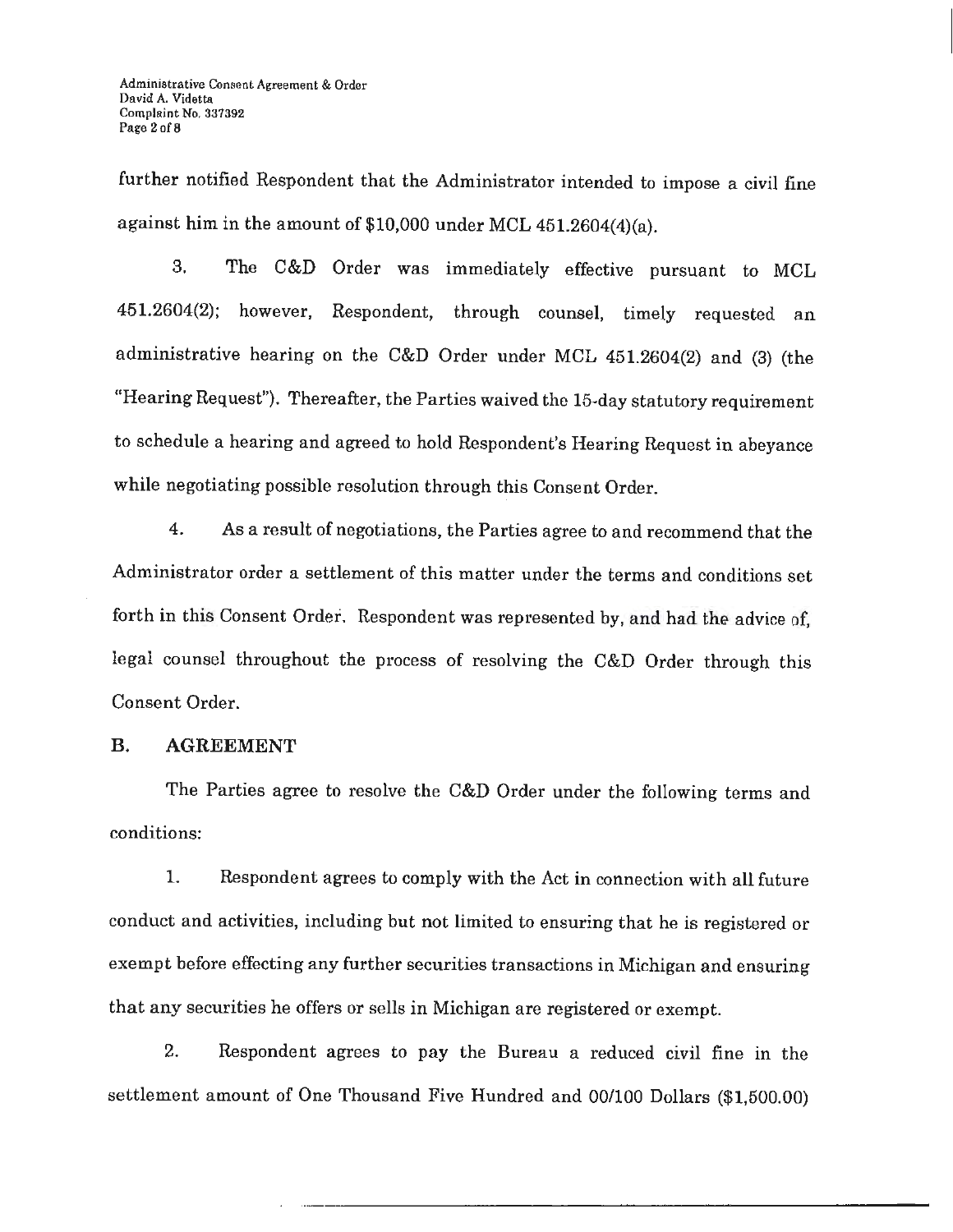further notified Respondent that the Administrator intended to impose a civil fine against him in the amount of \$10,000 under MCL 451.2604(4)(a).

3. The C&D Order was immediately effective pursuant to MCL 451.2604(2); however, Respondent, through counsel, timely requested an administrative hearing on the C&D Order under MCL 451.2604(2) and (3) (the "Hearing Request"). Thereafter, the Parties waived the 15-day statutory requirement to schedule a hearing and agreed to hold Respondent's Hearing Request in abeyance while negotiating possible resolution through this Consent Order.

4. As a result of negotiations, the Parties agree *to* and recommend that the Administrator order a settlement of this matter under the terms and conditions set forth in this Consent Order. Respondent was represented by, and had the advice of, legal counsel throughout the process of resolving the C&D Order through this Consent Order.

### **B. AGREEMENT**

The Parties agree to resolve the C&D Order under the following terms and conditions:

1. Respondent agrees to comply with the Act in connection with all future conduct and activities, including but not limited to ensuring that he is registered or exempt before effecting any further securities transactions in Michigan and ensuring that any securities he offers or sells in Michigan are registered or exempt.

2. Respondent agrees to pay the Bureau a reduced civil fine in the settlement amount of One Thousand Five Hundred and 00/100 Dollars (\$1,500.00)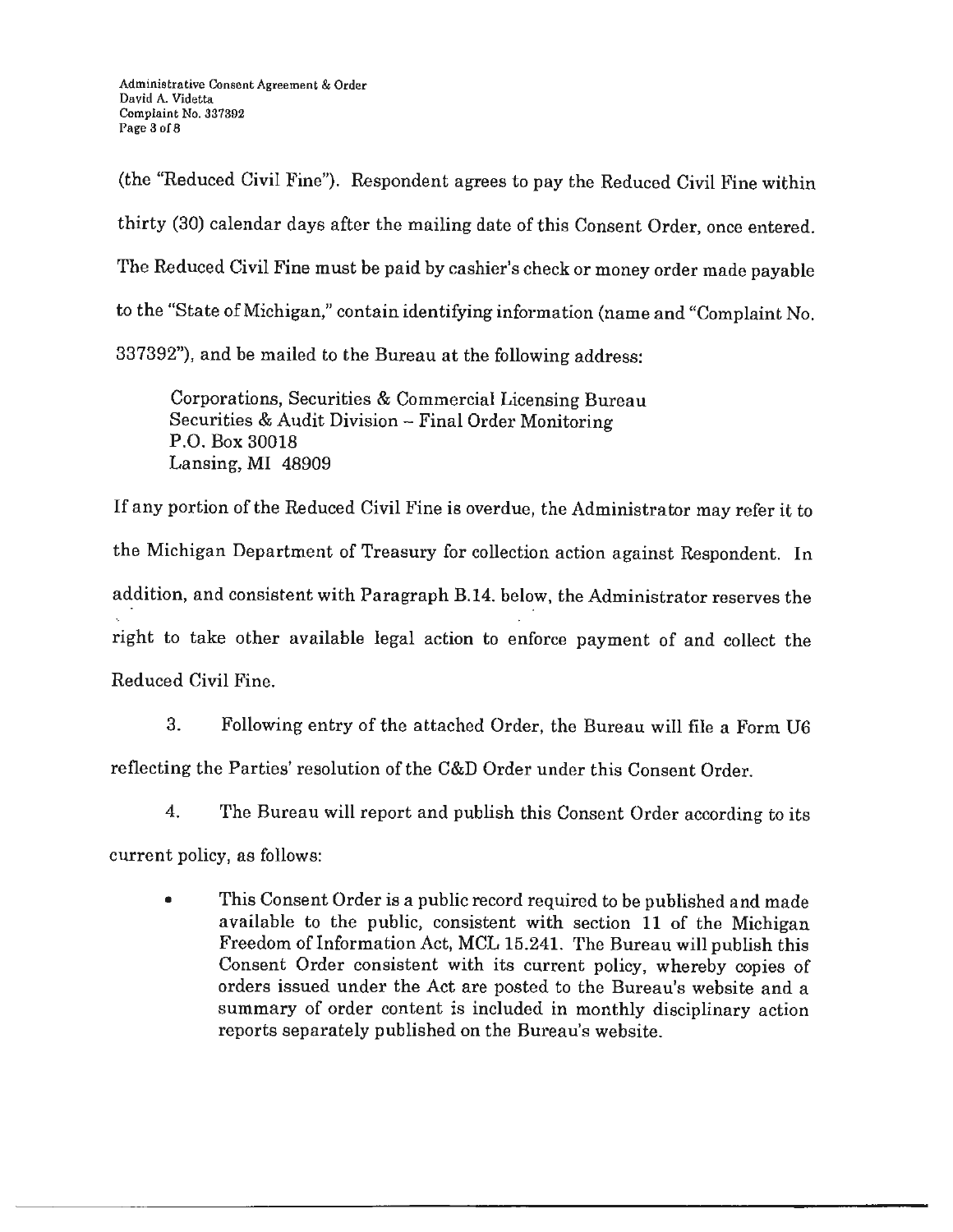(the "Reduced Civil Fine"). Respondent agrees to pay the Reduced Civil Fine within thirty (30) calendar days after the mailing date of this Consent Order, once entered. The Reduced Civil Fine must he paid by cashier's check or money order made payable to the "State of Michigan," contain identifying information (name and "Complaint No. 337392"), and be mailed to the Bureau at the following address:

Corporations, Securities & Commercial Licensing Bureau Securities & Audit Division  $-$  Final Order Monitoring P.O. Box 30018 Lansing, MI 48909

If any portion of the Reduced Civil Fine is overdue, the Administrator may refer it to the Michigan Department of Treasury for collection action against Respondent. In addition, and consistent with Paragraph B.14. below, the Administrator reserves the . . right to take other available legal action to enforce payment of and collect the Reduced Civil Fine.

3. Following entry of the attached Order, the Bureau will file a Form U6 reflecting the Parties' resolution of the C&D Order under this Consent Order.

4. The Bureau will report and publish this Consent Order according to its

current policy, as follows:

• This Consent Order is a public record required to be published and made available to the public, consistent with section 11 of the Michigan Freedom of Information Act, MCL 15.241. The Bureau will publish this Consent Order consistent with its current policy, whereby copies of orders issued under the Act are posted to the Bureau's website and a summary of order content is included in monthly disciplinary action reports separately published on the Bureau's website.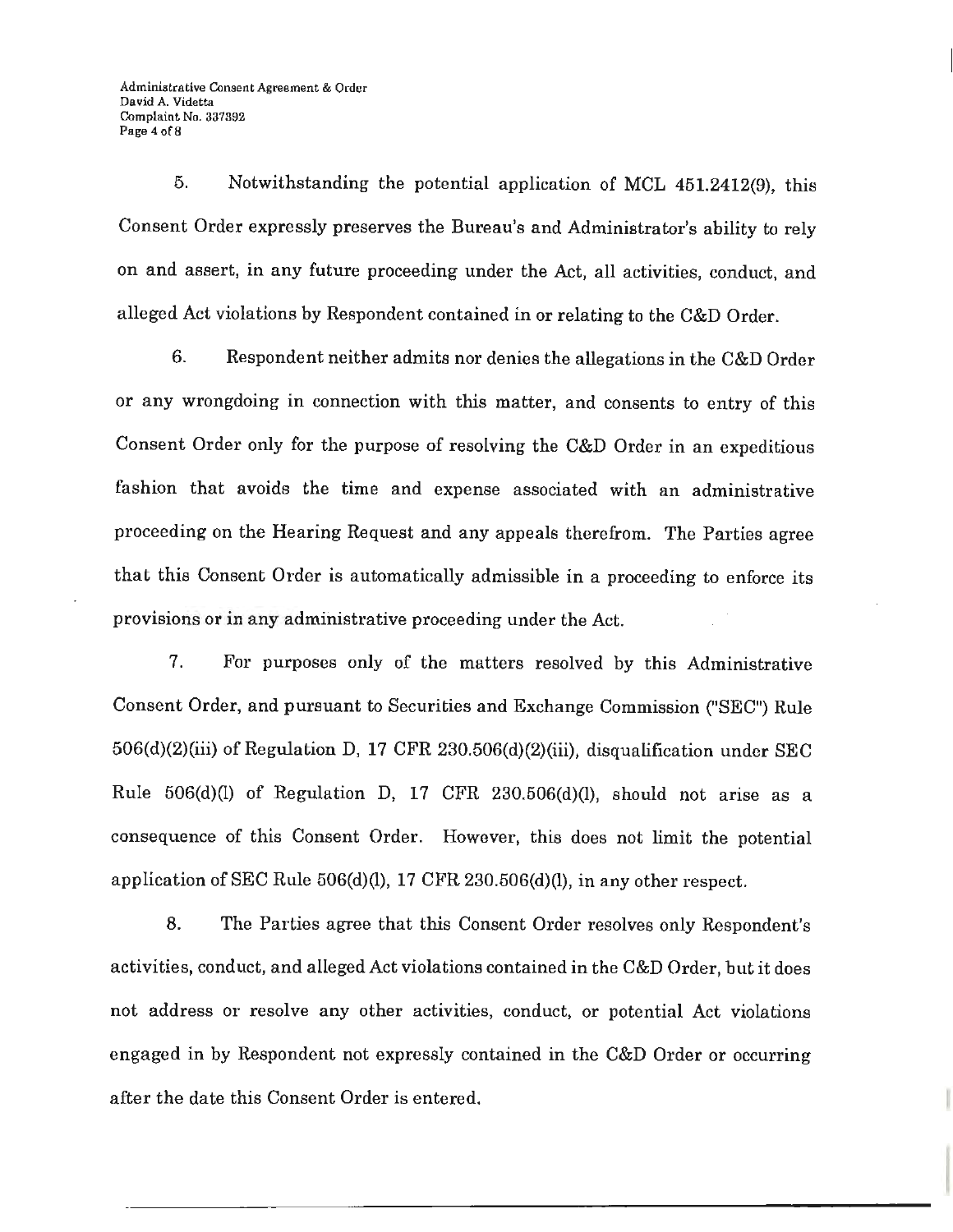5. Notwithstanding the potential application of MCL 451.2412(9), this Consent Order expressly preserves the Bureau's and Administrator's ability to rely on and assert, in any future proceeding under the Act, all activities, conduct, and alleged Act violations by Respondent contained in or relating to the C&D Order.

6. Respondent neither admits nor denies the allegations in the C&D Order or any wrongdoing in connection with this matter, and consents to entry of this Consent Order only for the purpose of resolving the C&D Order in an expeditious fashion that avoids the time and expense associated with an administrative proceeding on the Hearing Request and any appeals therefrom. The Parties agree that this Consent Order is automatically admissible in a proceeding to enforce its provisions or in any administrative proceeding under the Act.

7. For purposes only of the matters resolved by this Administrative Consent Order, and pursuant to Securities and Exchange Commission ("SEC") Rule 506(d)(2)(iii) of Regulation D, 17 CFR 230.506(d)(2)(iii), disqualification under SEC Rule  $506(d)(l)$  of Regulation D, 17 CFR 230.506(d)(l), should not arise as a consequence of this Consent Order. However, this does not limit the potential application of SEC Rule  $506(d)(l)$ , 17 CFR 230.506 $(d)(l)$ , in any other respect.

8. The Parties agree that this Consent Order resolves only Respondent's activities, conduct, and alleged Act violations contained in the C&D Order, but it does not address or resolve any other activities, conduct, or potential Act violations engaged in by Respondent not expressly contained in the C&D Order or occurring after the date this Consent Order is entered.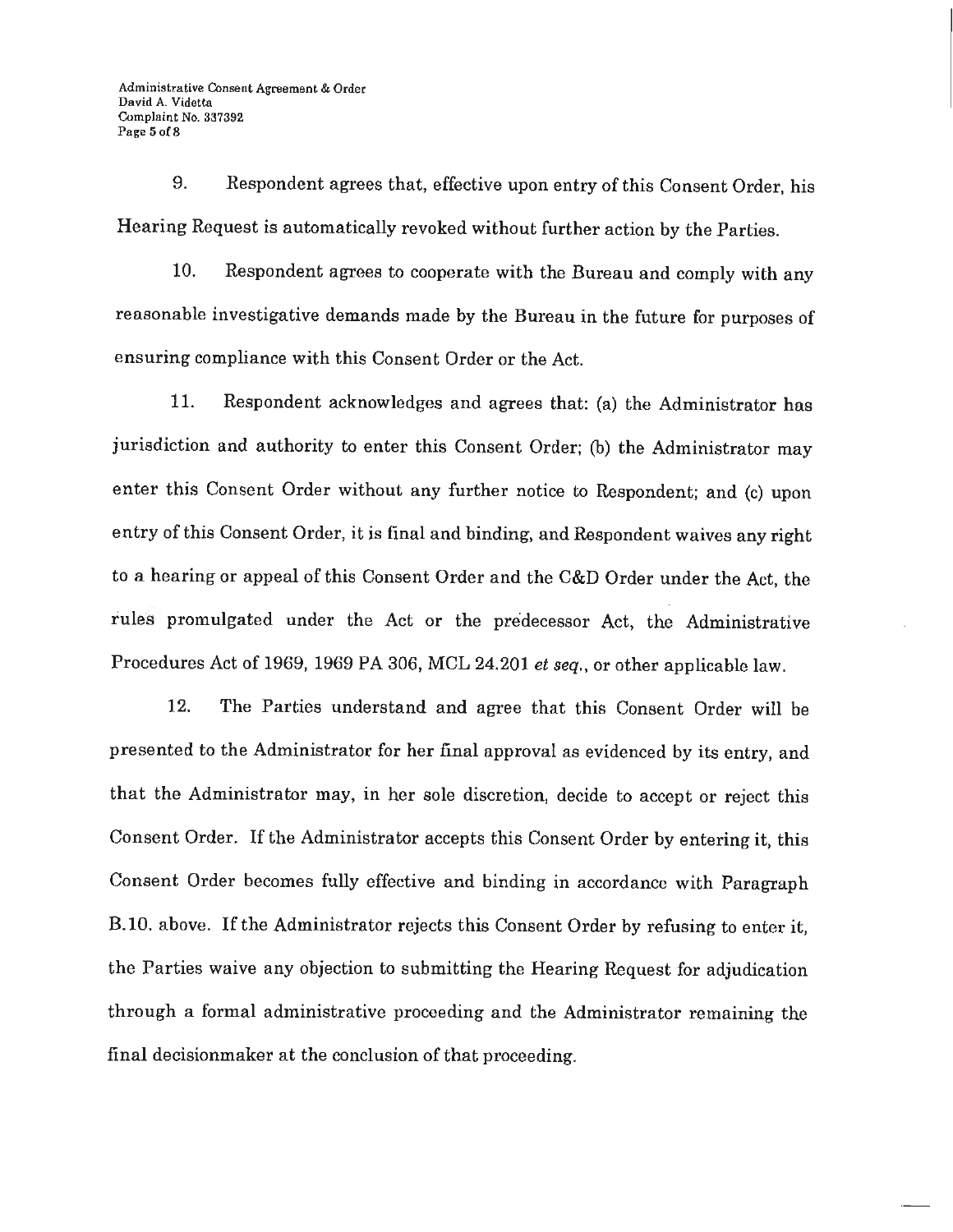9. Respondent agrees that, effective upon entry of this Consent Order, his Hearing Request is automatically revoked without further action by the Parties.

10. Respondent agrees to cooperate with the Bureau and comply with any reasonable investigative demands made by the Bureau in the future for purposes of ensuring compliance with this Consent Order or the Act.

11. Respondent acknowledges and agrees that: (a) the Administrator has jurisdiction and authority to enter this Consent Order; (b) the Administrator may enter this Consent Order without any further notice to Respondent; and (c) upon entry of this Consent Order, it is final and binding, and Respondent waives any right to a hearing or appeal of this Consent Order and the C&D Order under the Act, the rules promulgated under the Act or the predecessor Act, the Administrative Procedures Act of 1969, 1969 PA 306, MCL 24.201 *et seq.,* or other applicable law.

12. The Parties understand and agree that this Consent Order will be presented to the Administrator for her final approval as evidenced by its entry, and that the Administrator may, in her sole discretion, decide to accept or reject this Consent Order. If the Administrator accepts this Consent Order by entering it, this Consent Order becomes fully effective and binding in accordance with Paragraph B.10. above. If the Administrator rejects this Consent Order by refusing to enter it, the Parties waive any objection to submitting the Hearing Request for adjudication through a formal administrative proceeding and the Administrator remaining the final decisionmaker at the conclusion of that proceeding.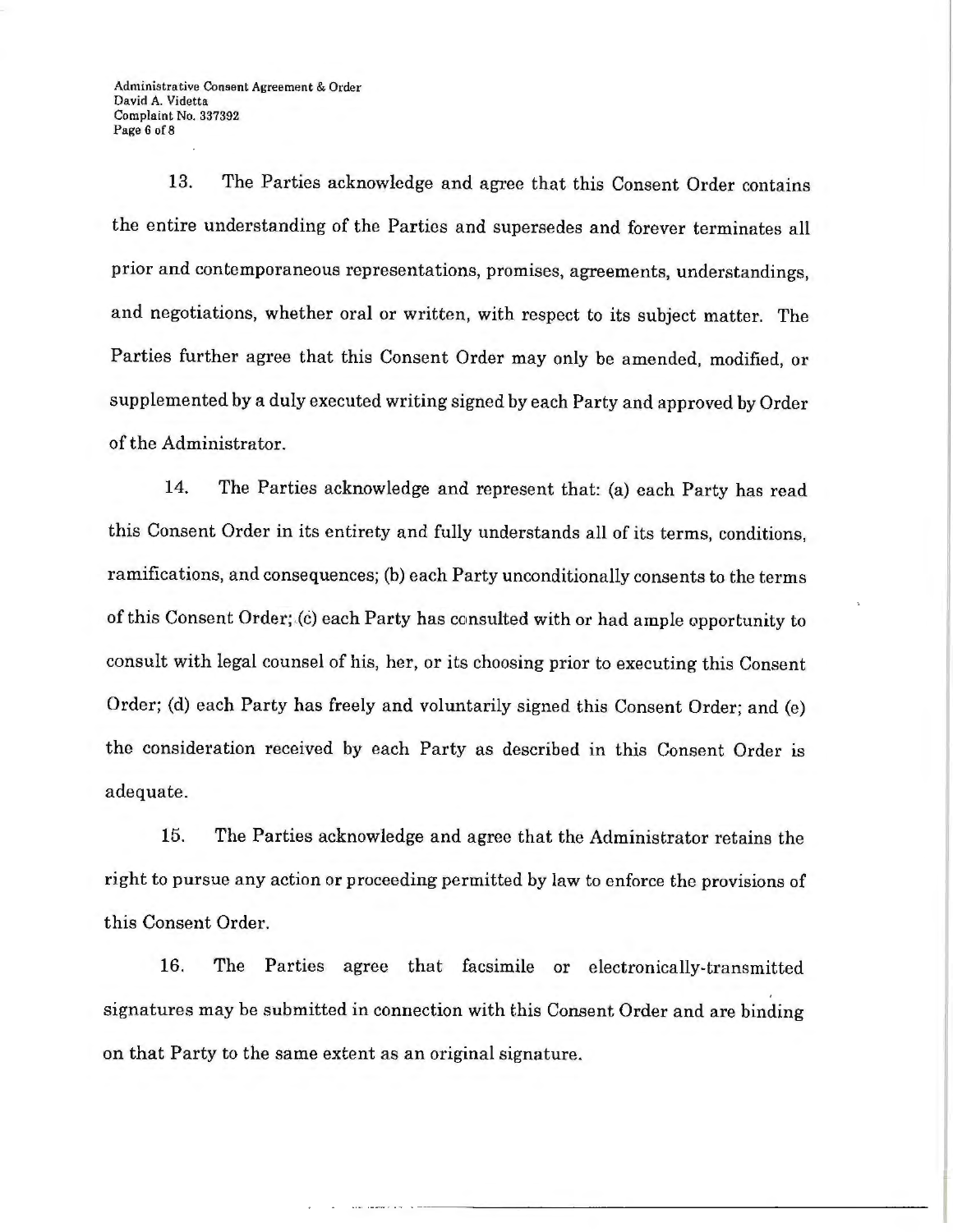Administrative Consent Agreement & Order David A. Videtta Complaint No. 337392 Page 6 of 8

13. The Parties acknowledge and agree that this Consent Order contains the entire understanding of the Parties and supersedes and forever terminates all prior and contemporaneous representations, promises, agreements, understandings, and negotiations, whether oral or written, with respect to its subject matter. The Parties further agree that this Consent Order may only be amended, modified, or supplemented by a duly executed writing signed by each Party and approved by Order of the Administrator.

14. The Parties acknowledge and represent that: (a) each Party has read this Consent Order in its entirety and fully understands all of its terms, conditions, ramifications, and consequences; (b) each Party unconditionally consents *to* the terms of this Consent Order; (c) each Party has consulted with or had ample opportunity to consult with legal counsel of his, her, or its choosing prior to executing this Consent Order; (d) each Party has freely and voluntarily signed this Consent Order; and (e) the consideration received by each Party as described in this Consent Order is adequate.

15. The Parties acknowledge and agree that the Administrator retains the right to pursue any action or proceeding permitted by law to enforce the provisions of this Consent Order.

16. The Parties agree that facsimile or electronically~transmitted signatures may be submitted in connection with this Consent Order and are binding on that Party to the same extent as an original signature.

- ---------------------

. . ...

·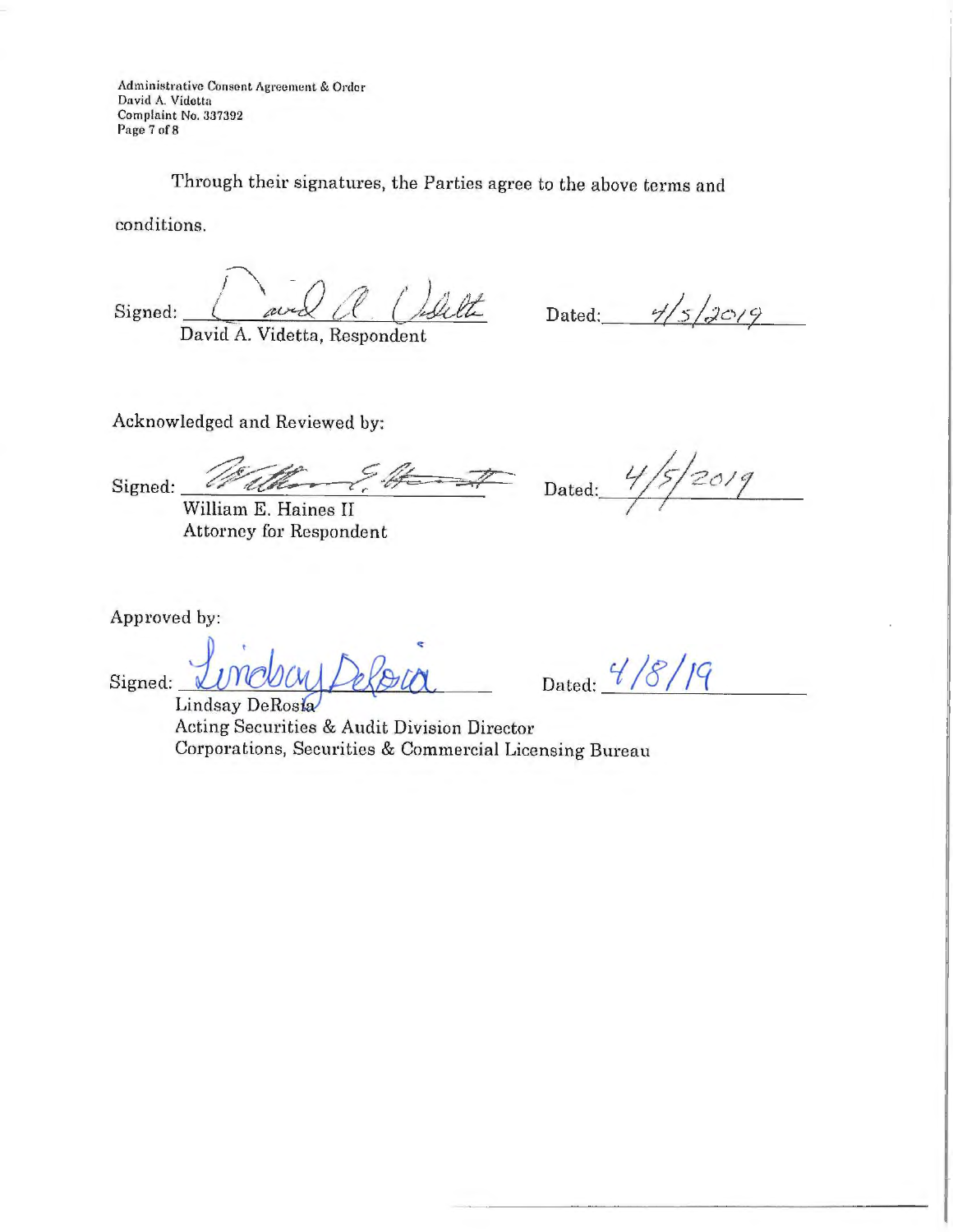Administrative Consent Agreement & Order David A. Videtta Complaint No. 337392 Page 7 of 8

Through their signatures, the Parties agree to the above terms and

conditions.

 ${\rm Signal:}$ 

David A. Videtta, Respondent

Dated:  $\frac{4}{5}$ /2019

Acknowledged and Reviewed by:

 $\overline{a}$  $-1/2$ Signed:

William E. Haines II Attorney for Respondent

Dated:  $\frac{4}{5}$  *zo19* 

Approved by:

Signed **Lindsay DeRosia** 

Dated:  $\frac{4}{8}$  / *f*<sub>9</sub>

Acting Securities & Audit Division Director Corporations, Securities & Commercial Licensing Bureau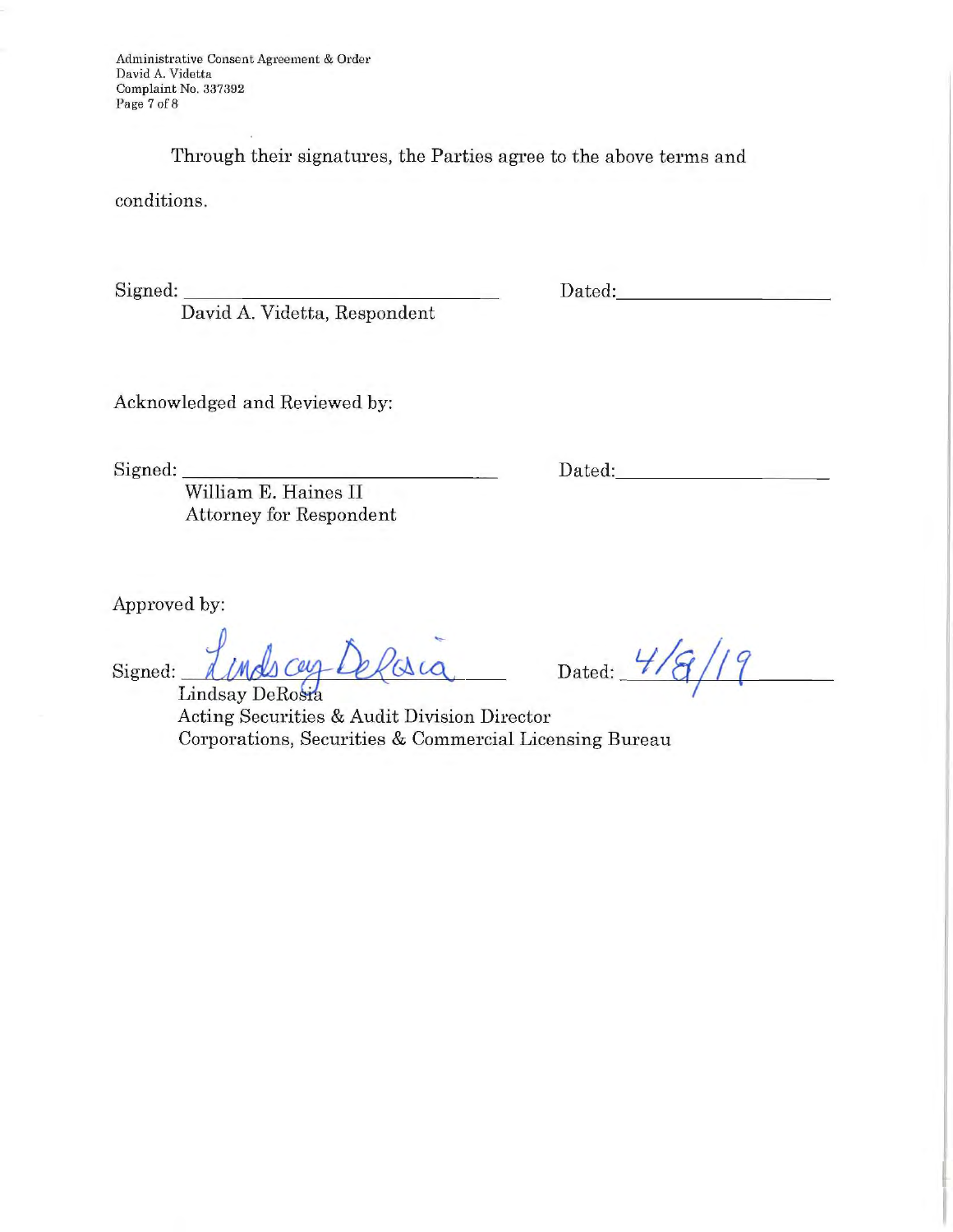Administrative Consent Agreement & Order David A. Videtta Complaint No. 337392 Page 7 of 8

Through their signatures, the Parties agree to the above terms and

conditions.

Signed: \_\_\_\_\_\_\_\_\_\_\_\_\_\_\_ \_

David A. Videtta, Respondent

Dated: **Example 2018** ----

Acknowledged and Reviewed by:

Signed: \_\_\_\_\_\_\_\_\_\_\_\_\_\_\_ \_

Dated: **Example 2018** 

-----------

William E. Haines II Attorney for Respondent

Approved by:

Signed: *I Unds coy Delaca* 

Dated: *\_ L/----"' /E(.q\_./-b--L.-.., /* f \_\_ \_ *<sup>I</sup>*

Acting Securities & Audit Division Director Corporations, Securities & Commercial Licensing Bureau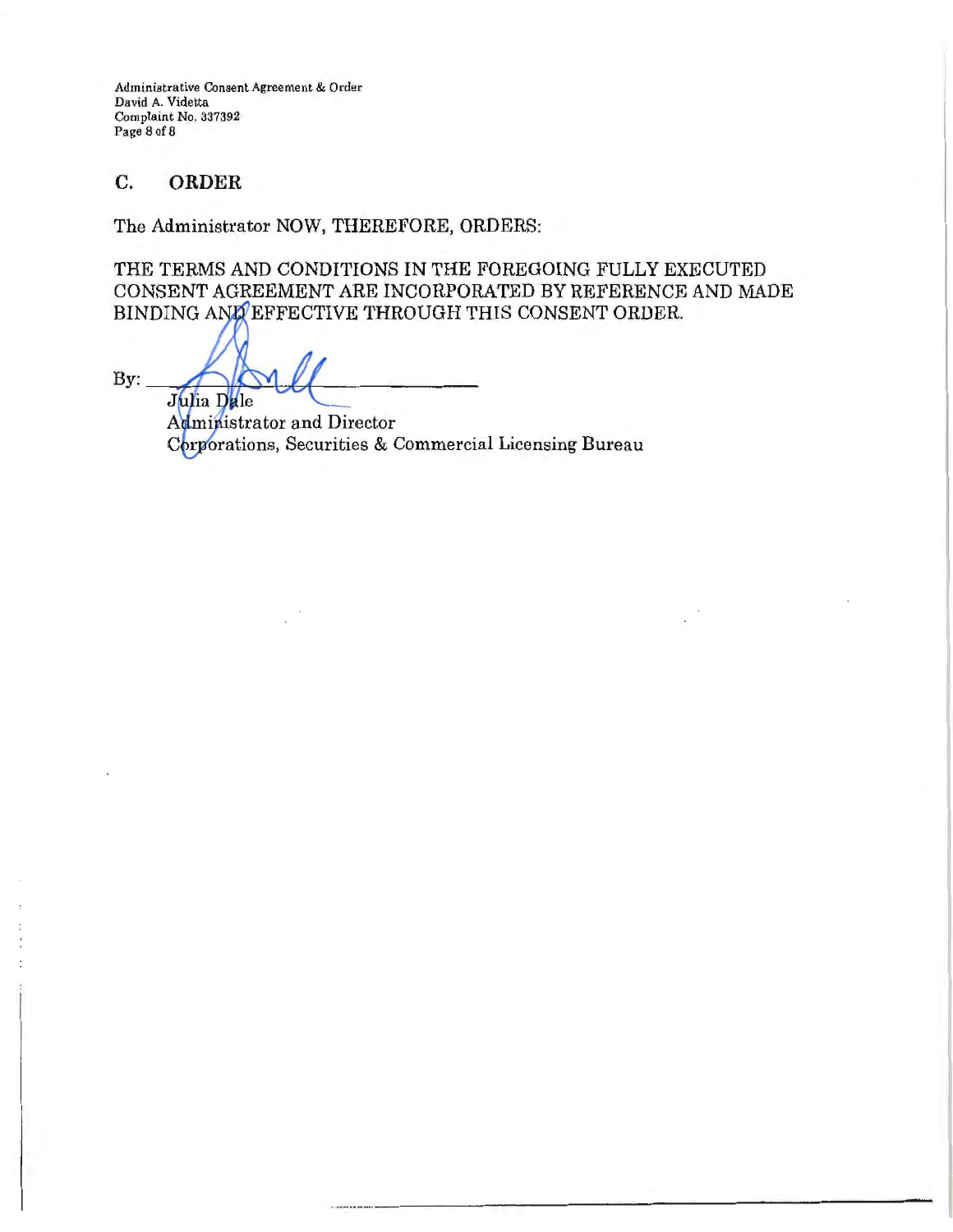Administrative Consent Agreement & Order David A. Videtta Complaint No. 337392 Page 8of 8

# **C. ORDER**

The Administrator NOW, THEREFORE, ORDERS:

THE TERMS AND CONDITIONS IN THE FOREGOING FULLY EXECUTED CONSENT AGREEMENT ARE INCORPORATED BY REFERENCE AND MADE BINDING AND EFFECTIVE THROUGH THIS CONSENT ORDER.

By: Julia Dale

Administrator and Director Corporations, Securities & Commercial Licensing Bureau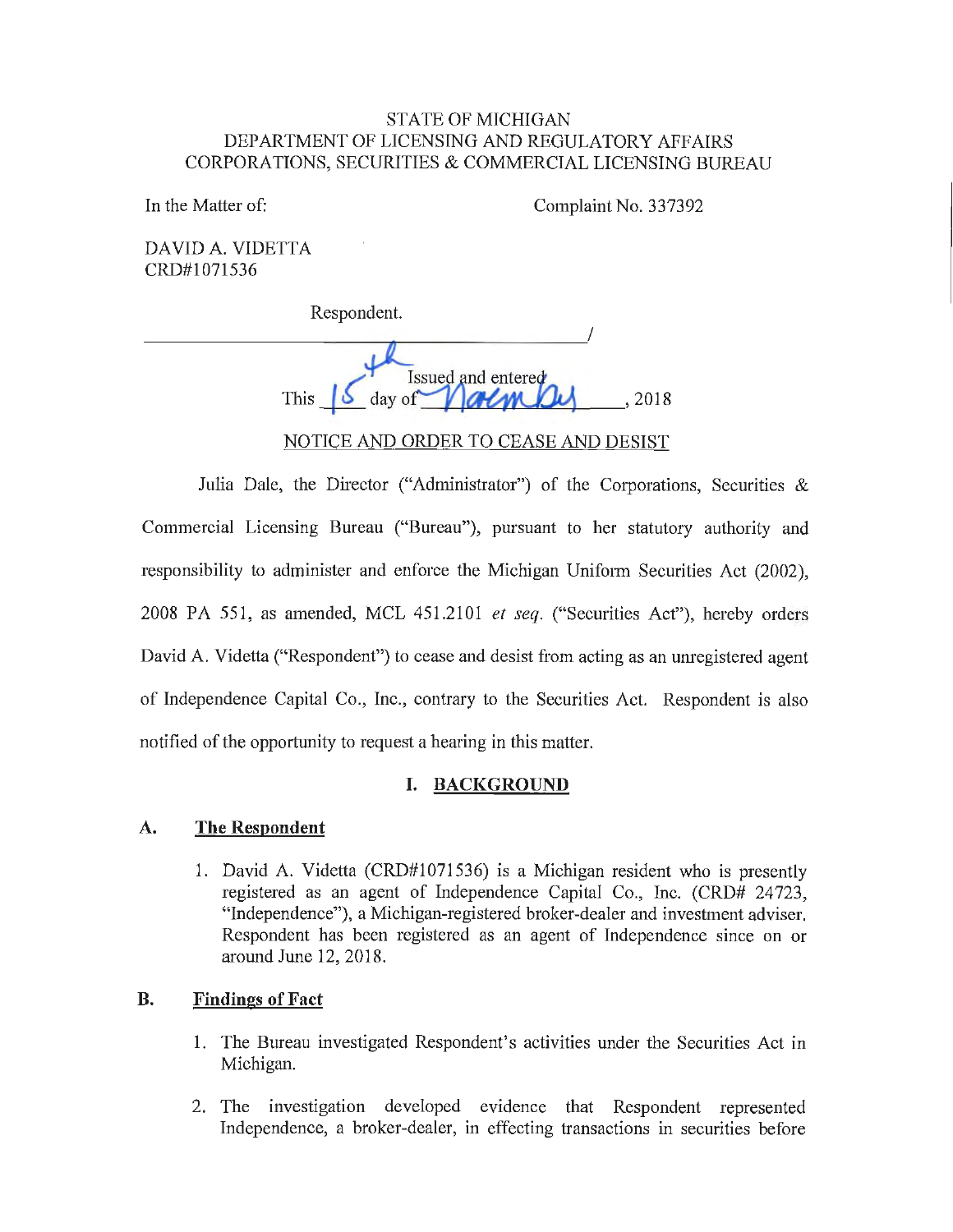### STATE OF MICHIGAN DEPARTMENT OF LICENSING AND REGULATORY AFFAIRS CORPORATIONS, SECURITIES & COMMERCIAL LICENSING BUREAU

In the Matter of: Complaint No. 337392

DAVID A. VIDETTA CRD#1071536

Respondent. \_\_\_\_\_\_\_\_\_\_\_\_\_\_\_ \_\_\_\_ \_ \_ \_\_ ! This  $\frac{1}{\sqrt{2\pi}}$  day of  $\frac{1}{\sqrt{2\pi}}$ , 2018

NOTICE AND ORDER TO CEASE AND DESIST

Julia Dale, the Director ("Administrator") of the Corporations, Securities & Commercial Licensing Bureau ("Bureau"), pursuant to her statutory authority and responsibility to administer and enforce the Michigan Uniform Securities Act (2002), 2008 PA 551, as amended, MCL 451.2101 *et seq.* ("Securities Act"), hereby orders David A. Videtta ("Respondent") to cease and desist from acting as an unregistered agent of Independence Capital Co., Inc., contrary to the Securities Act. Respondent is also notified of the opportunity to request a hearing in this matter.

# **I. BACKGROUND**

#### **A. The Respondent**

1. David A. Videtta (CRD#1071536) is a Michigan resident who is presently registered as an agent of Independence Capital Co., Inc. (CRD# 24723, "Independence"), a Michigan-registered broker-dealer and investment adviser. Respondent has been registered as an agent of Independence since on or around June 12, 2018.

#### **B. Findings of Fact**

- **1.** The Bureau investigated Respondent's activities under the Securities Act in Michigan.
- 2. The investigation developed evidence that Respondent represented Independence, a broker-dealer, in effecting transactions in securities before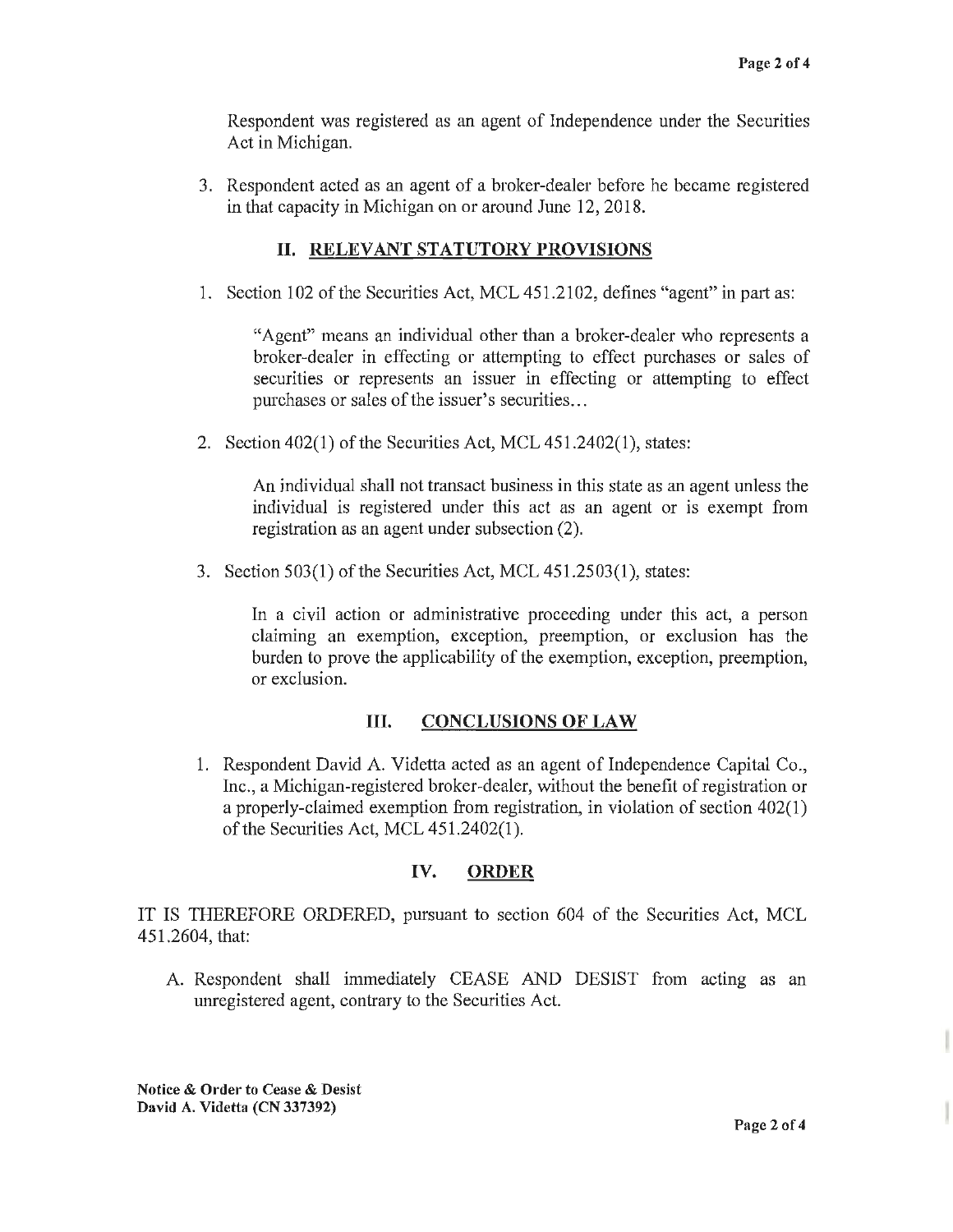Respondent was registered as an agent of Independence under the Securities Act in Michigan.

3. Respondent acted as an agent of a broker-dealer before he became registered in that capacity in Michigan on or around June 12, 2018.

# II. **RELEVANT STATUTORY PROVISIONS**

1. Section 102 of the Securities Act, MCL 451.2102, defines "agent" in part as:

"Agent" means an individual other than a broker-dealer who represents a broker-dealer in effecting or attempting to effect purchases or sales of securities or represents an issuer in effecting or attempting to effect purchases or sales of the issuer's securities...

2. Section 402(1) of the Securities Act, MCL 451.2402(1 ), states:

An individual shall not transact business in this state as an agent unless the individual is registered under this act as an agent or is exempt from registration as an agent under subsection (2).

3. Section 503(1) of the Securities Act, MCL 451.2503(1), states:

In a civil action or administrative proceeding under this act, a person claiming an exemption, exception, preemption, or exclusion has the burden to prove the applicability of the exemption, exception, preemption, or exclusion.

### III. **CONCLUSIONS OF LAW**

1. Respondent David A. Videtta acted as an agent of Independence Capital Co., Inc., a Michigan-registered broker-dealer, without the benefit of registration or a properly-claimed exemption from registration, in violation of section 402(1) of the Securities Act, MCL 451,2402(1).

# **IV. ORDER**

IT IS THEREFORE ORDERED, pursuant to section 604 of the Securities Act, MCL 45 1.2604, that:

A. Respondent shall immediately CEASE AND DESIST from acting as an unregistered agent, contrary to the Securities Act.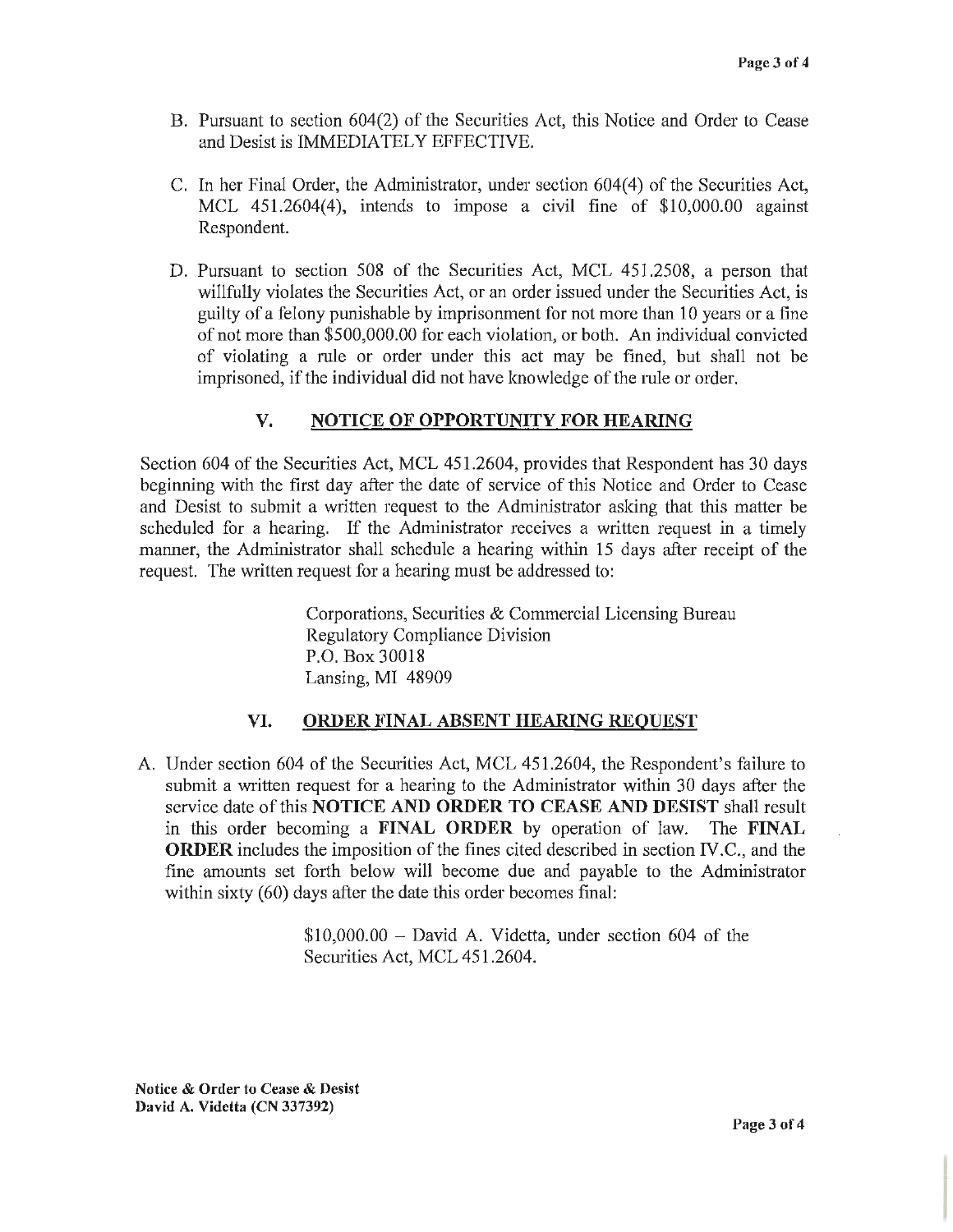- B. Pursuant to section 604(2) of the Securities Act, this Notice and Order to Cease and Desist is IMMEDIATELY EFFECTIVE.
- C. In her Final Order, the Administrator, under section 604(4) of the Securities Act, MCL 451.2604(4), intends to impose a civil fine of \$10,000.00 against Respondent.
- D. Pursuant to section 508 of the Securities Act, MCL 451.2508, a person that willfully violates the Securities Act, or an order issued under the Securities Act, is guilty of a felony punishable by imprisonment for not more than 10 years or a fine of not more than \$500,000.00 for each violation, or both. An individual convicted of violating a rule or order w1der this act may be fined, but shall not be imprisoned, if the individual did not have knowledge of the rnle or order.

# **V. NOTICE OF OPPORTUNITY FOR HEARING**

Section 604 of the Securities Act, MCL 451.2604, provides that Respondent has 30 days beginning with the first day after the date of service of this Notice and Order to Cease and Desist to submit a written request to the Administrator asking that this matter be scheduled for a hearing. If the Administrator receives a written request in a timely manner, the Administrator shall schedule a hearing within 15 days after receipt of the request. The written request for a hearing must be addressed to:

> Corporations, Securities & Commercial Licensing Bureau Regulatory Compliance Division P.O. Box 30018 Lansing, MI 48909

#### **VI. ORDER FINAL ABSENT HEARING REQUEST**

A. Under section 604 of the Securities Act, MCL 451.2604, the Respondent's failure to submit a written request for a hearing to the Administrator within 30 days after the service date of this **NOTICE AND ORDER TO CEASE AND DESIST** shall result in this order becoming a **FINAL ORDER** by operation of law. The **FINAL ORDER** includes the imposition of the fines cited described in section IV.C., and the fine amounts set forth below will become due and payable to the Administrator within sixty (60) days after the date this order becomes final:

> $$10,000.00 - David A. Videtta, under section 604 of the$ Securities Act, MCL 451.2604.